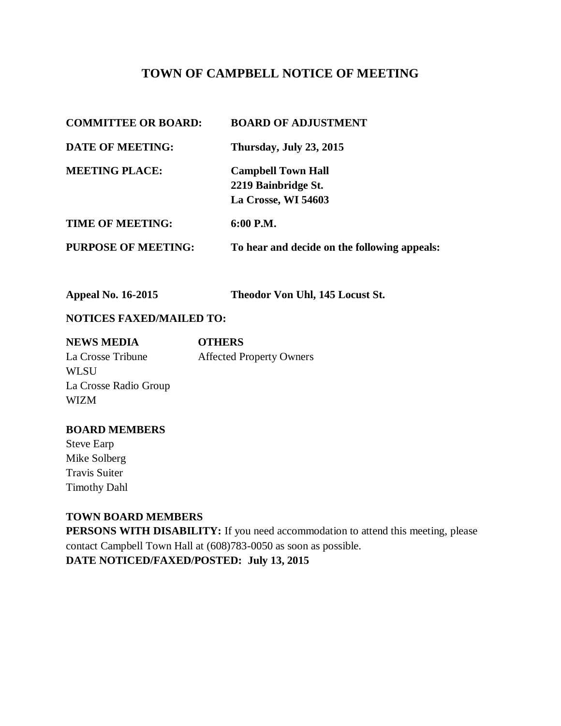# **TOWN OF CAMPBELL NOTICE OF MEETING**

| <b>COMMITTEE OR BOARD:</b> | <b>BOARD OF ADJUSTMENT</b>                   |
|----------------------------|----------------------------------------------|
| <b>DATE OF MEETING:</b>    | Thursday, July 23, 2015                      |
| <b>MEETING PLACE:</b>      | <b>Campbell Town Hall</b>                    |
|                            | 2219 Bainbridge St.                          |
|                            | La Crosse, WI 54603                          |
| <b>TIME OF MEETING:</b>    | 6:00 P.M.                                    |
| <b>PURPOSE OF MEETING:</b> | To hear and decide on the following appeals: |

**Appeal No. 16-2015 Theodor Von Uhl, 145 Locust St.** 

### **NOTICES FAXED/MAILED TO:**

| <b>NEWS MEDIA</b>     | <b>OTHERS</b>                   |
|-----------------------|---------------------------------|
| La Crosse Tribune     | <b>Affected Property Owners</b> |
| <b>WLSU</b>           |                                 |
| La Crosse Radio Group |                                 |
| <b>WIZM</b>           |                                 |

#### **BOARD MEMBERS**

Steve Earp Mike Solberg Travis Suiter Timothy Dahl

#### **TOWN BOARD MEMBERS**

**PERSONS WITH DISABILITY:** If you need accommodation to attend this meeting, please contact Campbell Town Hall at (608)783-0050 as soon as possible.

**DATE NOTICED/FAXED/POSTED: July 13, 2015**